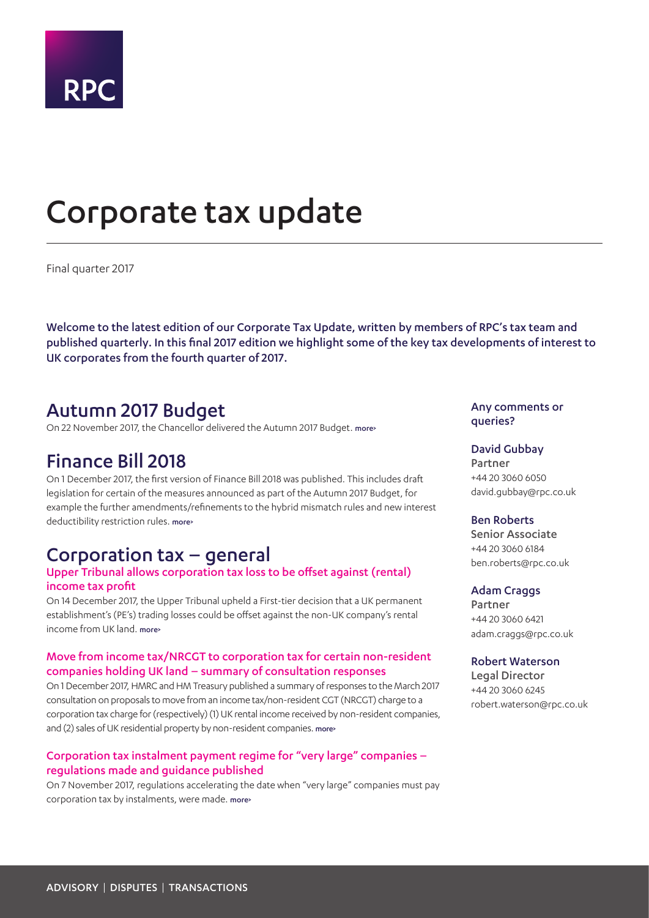

# <span id="page-0-0"></span>Corporate tax update

Final quarter 2017

Welcome to the latest edition of our Corporate Tax Update, written by members of RPC's tax team and published quarterly. In this final 2017 edition we highlight some of the key tax developments of interest to UK corporates from the fourth quarter of 2017.

## Autumn 2017 Budget

On 22 November 2017, the Chancellor delivered the Autumn 2017 Budget. [more>](#page-3-0)

## Finance Bill 2018

On 1 December 2017, the first version of Finance Bill 2018 was published. This includes draft legislation for certain of the measures announced as part of the Autumn 2017 Budget, for example the further amendments/refinements to the hybrid mismatch rules and new interest deductibility restriction rules. [more>](#page-5-0)

## Corporation tax – general

## Upper Tribunal allows corporation tax loss to be offset against (rental) income tax profit

On 14 December 2017, the Upper Tribunal upheld a First-tier decision that a UK permanent establishment's (PE's) trading losses could be offset against the non-UK company's rental income from LIK land. [more>](#page-6-0)

## Move from income tax/NRCGT to corporation tax for certain non-resident companies holding UK land – summary of consultation responses

On 1 December 2017, HMRC and HM Treasury published a summary of responses to the March 2017 consultation on proposals to move from an income tax/non-resident CGT (NRCGT) charge to a corporation tax charge for (respectively) (1) UK rental income received by non-resident companies, and (2) sales of UK residential property by non-resident companies. [more>](#page-6-1)

## Corporation tax instalment payment regime for "very large" companies – regulations made and guidance published

On 7 November 2017, regulations accelerating the date when "very large" companies must pay corporation tax by instalments, were made. more>

## Any comments or queries?

### David Gubbay

Partner +44 20 3060 6050 david.gubbay@rpc.co.uk

### Ben Roberts

Senior Associate +44 20 3060 6184 ben.roberts@rpc.co.uk

### Adam Craggs

Partner +44 20 3060 6421 adam.craggs@rpc.co.uk

## Robert Waterson

Legal Director +44 20 3060 6245 robert.waterson@rpc.co.uk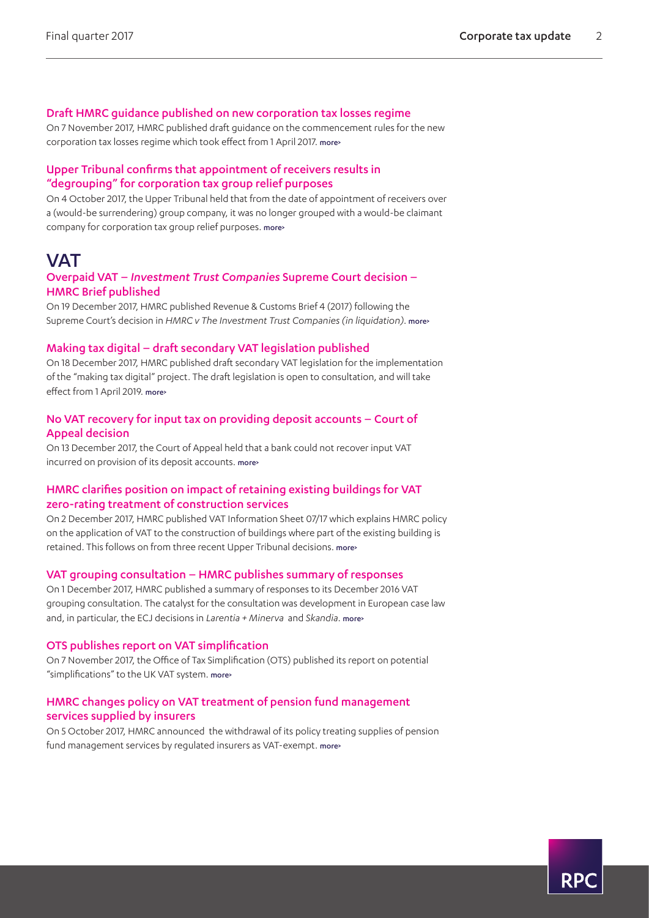## Draft HMRC guidance published on new corporation tax losses regime

On 7 November 2017, HMRC published draft guidance on the commencement rules for the new corporation tax losses regime which took effect from 1 April 2017. [more>](#page-7-0)

## Upper Tribunal confirms that appointment of receivers results in "degrouping" for corporation tax group relief purposes

On 4 October 2017, the Upper Tribunal held that from the date of appointment of receivers over a (would-be surrendering) group company, it was no longer grouped with a would-be claimant company for corporation tax group relief purposes. more>

## **VAT**

## Overpaid VAT – *Investment Trust Companies* Supreme Court decision – HMRC Brief published

On 19 December 2017, HMRC published Revenue & Customs Brief 4 (2017) following the Supreme Court's decision in *HMRC v The Investment Trust Companies (in liquidation)*. [more>](#page-8-0)

### Making tax digital – draft secondary VAT legislation published

On 18 December 2017, HMRC published draft secondary VAT legislation for the implementation of the "making tax digital" project. The draft legislation is open to consultation, and will take effect from 1 April 2019. [more>](#page-8-1)

### No VAT recovery for input tax on providing deposit accounts – Court of Appeal decision

On 13 December 2017, the Court of Appeal held that a bank could not recover input VAT incurred on provision of its deposit accounts. [more>](#page-8-2)

## HMRC clarifies position on impact of retaining existing buildings for VAT zero-rating treatment of construction services

On 2 December 2017, HMRC published VAT Information Sheet 07/17 which explains HMRC policy on the application of VAT to the construction of buildings where part of the existing building is retained. This follows on from three recent Upper Tribunal decisions. [more>](#page-9-0)

### VAT grouping consultation – HMRC publishes summary of responses

On 1 December 2017, HMRC published a summary of responses to its December 2016 VAT grouping consultation. The catalyst for the consultation was development in European case law and, in particular, the ECJ decisions in *Larentia + Minerva* and *Skandia*. [more>](#page-9-1)

### OTS publishes report on VAT simplification

On 7 November 2017, the Office of Tax Simplification (OTS) published its report on potential "simplifications" to the UK VAT system. [more>](#page-10-0)

## HMRC changes policy on VAT treatment of pension fund management services supplied by insurers

On 5 October 2017, HMRC announced the withdrawal of its policy treating supplies of pension fund management services by regulated insurers as VAT-exempt. [more>](#page-10-1)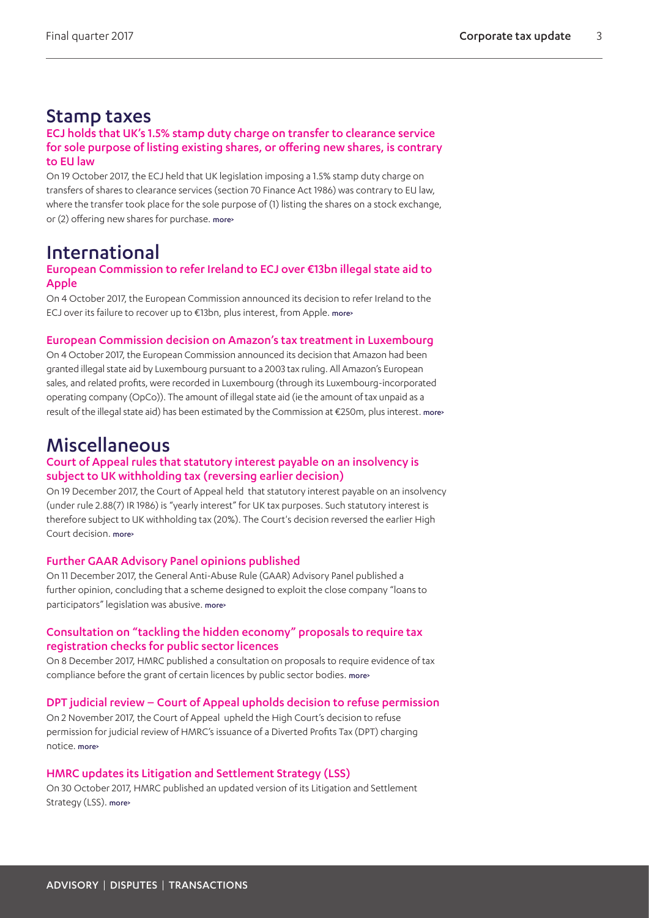## Stamp taxes

## ECJ holds that UK's 1.5% stamp duty charge on transfer to clearance service for sole purpose of listing existing shares, or offering new shares, is contrary to EU law

On 19 October 2017, the ECJ held that UK legislation imposing a 1.5% stamp duty charge on transfers of shares to clearance services (section 70 Finance Act 1986) was contrary to EU law, where the transfer took place for the sole purpose of (1) listing the shares on a stock exchange, or (2) offering new shares for purchase. more>

## International

## European Commission to refer Ireland to ECJ over €13bn illegal state aid to Apple

On 4 October 2017, the European Commission announced its decision to refer Ireland to the ECJ over its failure to recover up to €13bn, plus interest, from Apple. [more>](#page-13-0)

## European Commission decision on Amazon's tax treatment in Luxembourg

On 4 October 2017, the European Commission announced its decision that Amazon had been granted illegal state aid by Luxembourg pursuant to a 2003 tax ruling. All Amazon's European sales, and related profits, were recorded in Luxembourg (through its Luxembourg-incorporated operating company (OpCo)). The amount of illegal state aid (ie the amount of tax unpaid as a result of the illegal state aid) has been estimated by the Commission at €250m, plus interest. more>

## Miscellaneous

## Court of Appeal rules that statutory interest payable on an insolvency is subject to UK withholding tax (reversing earlier decision)

On 19 December 2017, the Court of Appeal held that statutory interest payable on an insolvency (under rule 2.88(7) IR 1986) is "yearly interest" for UK tax purposes. Such statutory interest is therefore subject to UK withholding tax (20%). The Court's decision reversed the earlier High Court decision. more>

## Further GAAR Advisory Panel opinions published

On 11 December 2017, the General Anti-Abuse Rule (GAAR) Advisory Panel published a further opinion, concluding that a scheme designed to exploit the close company "loans to participators" legislation was abusive. [more>](#page-14-0)

## Consultation on "tackling the hidden economy" proposals to require tax registration checks for public sector licences

On 8 December 2017, HMRC published a consultation on proposals to require evidence of tax compliance before the grant of certain licences by public sector bodies. more>

## DPT judicial review – Court of Appeal upholds decision to refuse permission

On 2 November 2017, the Court of Appeal upheld the High Court's decision to refuse permission for judicial review of HMRC's issuance of a Diverted Profits Tax (DPT) charging notice. [more>](#page-15-0)

## HMRC updates its Litigation and Settlement Strategy (LSS)

On 30 October 2017, HMRC published an updated version of its Litigation and Settlement Strategy (LSS). [more>](#page-15-1)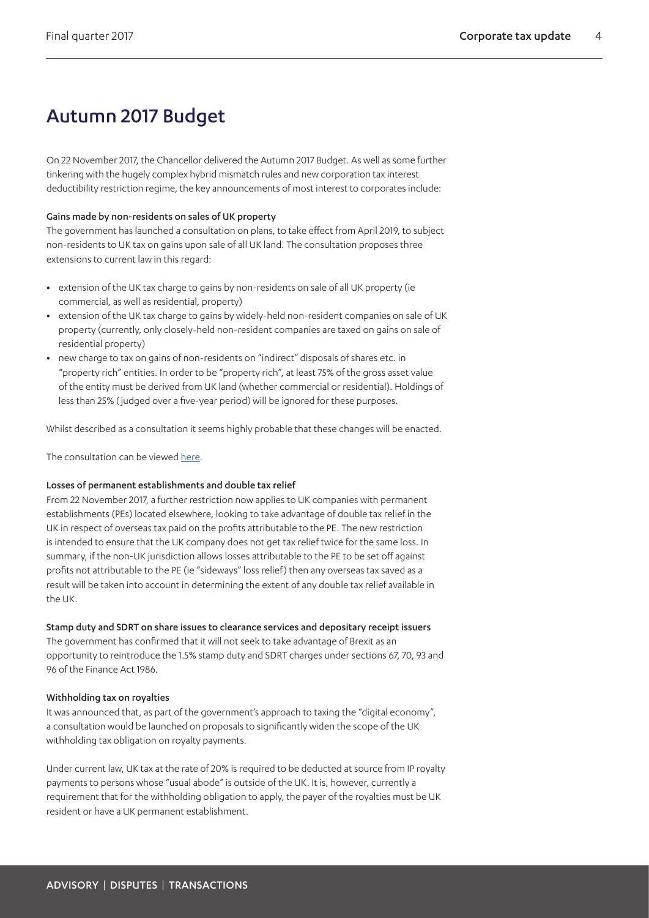## <span id="page-3-0"></span>Autumn 2017 Budget

On 22 November 2017, the Chancellor delivered the Autumn 2017 Budget. As well as some further tinkering with the hugely complex hybrid mismatch rules and new corporation tax interest deductibility restriction regime, the key announcements of most interest to corporates include:

### Gains made by non-residents on sales of UK property

The government has launched a consultation on plans, to take effect from April 2019, to subject non-residents to UK tax on gains upon sale of all UK land. The consultation proposes three extensions to current law in this regard:

- **•** extension of the UK tax charge to gains by non-residents on sale of all UK property (ie commercial, as well as residential, property)
- **•** extension of the UK tax charge to gains by widely-held non-resident companies on sale of UK property (currently, only closely-held non-resident companies are taxed on gains on sale of residential property)
- **•** new charge to tax on gains of non-residents on "indirect" disposals of shares etc. in "property rich" entities. In order to be "property rich", at least 75% of the gross asset value of the entity must be derived from UK land (whether commercial or residential). Holdings of less than 25% ( judged over a five-year period) will be ignored for these purposes.

Whilst described as a consultation it seems highly probable that these changes will be enacted.

The consultation can be viewed [here.](https://www.gov.uk/government/consultations/taxing-gains-made-by-non-residents-on-uk-immovable-property)

## Losses of permanent establishments and double tax relief

From 22 November 2017, a further restriction now applies to UK companies with permanent establishments (PEs) located elsewhere, looking to take advantage of double tax relief in the UK in respect of overseas tax paid on the profits attributable to the PE. The new restriction is intended to ensure that the UK company does not get tax relief twice for the same loss. In summary, if the non-UK jurisdiction allows losses attributable to the PE to be set off against profits not attributable to the PE (ie "sideways" loss relief) then any overseas tax saved as a result will be taken into account in determining the extent of any double tax relief available in the UK.

## Stamp duty and SDRT on share issues to clearance services and depositary receipt issuers

The government has confirmed that it will not seek to take advantage of Brexit as an opportunity to reintroduce the 1.5% stamp duty and SDRT charges under sections 67, 70, 93 and 96 of the Finance Act 1986.

### Withholding tax on royalties

It was announced that, as part of the government's approach to taxing the "digital economy", a consultation would be launched on proposals to significantly widen the scope of the UK withholding tax obligation on royalty payments.

Under current law, UK tax at the rate of 20% is required to be deducted at source from IP royalty payments to persons whose "usual abode" is outside of the UK. It is, however, currently a requirement that for the withholding obligation to apply, the payer of the royalties must be UK resident or have a UK permanent establishment.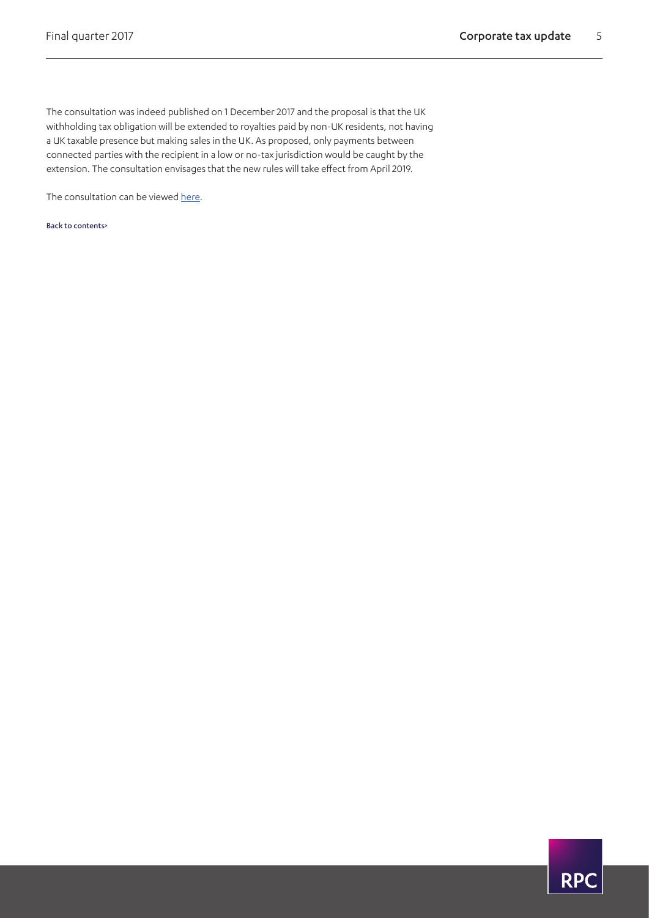The consultation was indeed published on 1 December 2017 and the proposal is that the UK withholding tax obligation will be extended to royalties paid by non-UK residents, not having a UK taxable presence but making sales in the UK. As proposed, only payments between connected parties with the recipient in a low or no-tax jurisdiction would be caught by the extension. The consultation envisages that the new rules will take effect from April 2019.

The consultation can be viewed [here.](https://www.gov.uk/government/consultations/royalty-withholding-tax)

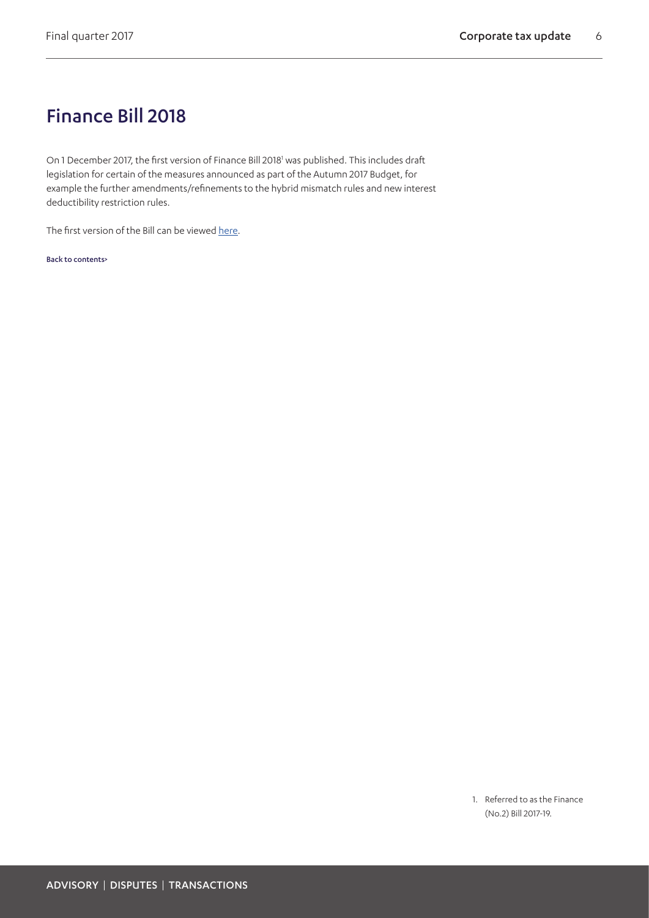## <span id="page-5-0"></span>Finance Bill 2018

On 1 December 2017, the first version of Finance Bill 2018<sup>1</sup> was published. This includes draft legislation for certain of the measures announced as part of the Autumn 2017 Budget, for example the further amendments/refinements to the hybrid mismatch rules and new interest deductibility restriction rules.

The first version of the Bill can be viewed [here](https://services.parliament.uk/bills/2017-19/financeno2/documents.html).

[Back to contents>](#page-0-0)

<span id="page-5-1"></span>1. Referred to as the Finance (No.2) Bill 2017-19.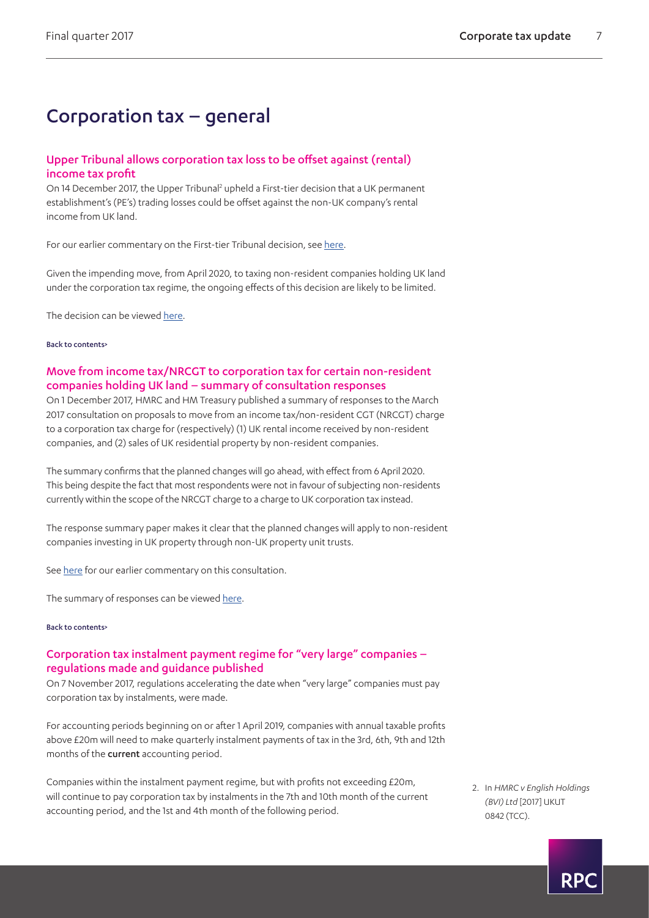## Corporation tax – general

## <span id="page-6-0"></span>Upper Tribunal allows corporation tax loss to be offset against (rental) income tax profit

On 14 December 2017, the Upper Tribunal<sup>2</sup> upheld a First-tier decision that a UK permanent establishment's (PE's) trading losses could be offset against the non-UK company's rental income from UK land.

For our earlier commentary on the First-tier Tribunal decision, see [here](https://www.rpc.co.uk/perspectives/tax-take/corporate-tax-update-second-quarter-2016).

Given the impending move, from April 2020, to taxing non-resident companies holding UK land under the corporation tax regime, the ongoing effects of this decision are likely to be limited.

The decision can be viewed [here.](https://assets.publishing.service.gov.uk/media/5a32919840f0b628a4375e28/HMRC_v_English_Holdings_BVI_Ltd.pdf)

#### [Back to contents>](#page-0-0)

## <span id="page-6-1"></span>Move from income tax/NRCGT to corporation tax for certain non-resident companies holding UK land – summary of consultation responses

On 1 December 2017, HMRC and HM Treasury published a summary of responses to the March 2017 consultation on proposals to move from an income tax/non-resident CGT (NRCGT) charge to a corporation tax charge for (respectively) (1) UK rental income received by non-resident companies, and (2) sales of UK residential property by non-resident companies.

The summary confirms that the planned changes will go ahead, with effect from 6 April 2020. This being despite the fact that most respondents were not in favour of subjecting non-residents currently within the scope of the NRCGT charge to a charge to UK corporation tax instead.

The response summary paper makes it clear that the planned changes will apply to non-resident companies investing in UK property through non-UK property unit trusts.

See [here](https://www.rpc.co.uk/perspectives/tax-take/corporate-tax-update-first-quarter-2017) for our earlier commentary on this consultation.

The summary of responses can be viewed [here.](https://www.gov.uk/government/uploads/system/uploads/attachment_data/file/664178/Non-resident_companies_chargeable_to_income_tax_and_non-resident_CGT_summary_of_responses.pdf)

#### [Back to contents>](#page-0-0)

## Corporation tax instalment payment regime for "very large" companies – regulations made and guidance published

On 7 November 2017, regulations accelerating the date when "very large" companies must pay corporation tax by instalments, were made.

For accounting periods beginning on or after 1 April 2019, companies with annual taxable profits above £20m will need to make quarterly instalment payments of tax in the 3rd, 6th, 9th and 12th months of the **current** accounting period.

Companies within the instalment payment regime, but with profits not exceeding £20m, will continue to pay corporation tax by instalments in the 7th and 10th month of the current accounting period, and the 1st and 4th month of the following period.

<span id="page-6-2"></span>2. In *HMRC v English Holdings (BVI) Ltd* [2017] UKUT 0842 (TCC).

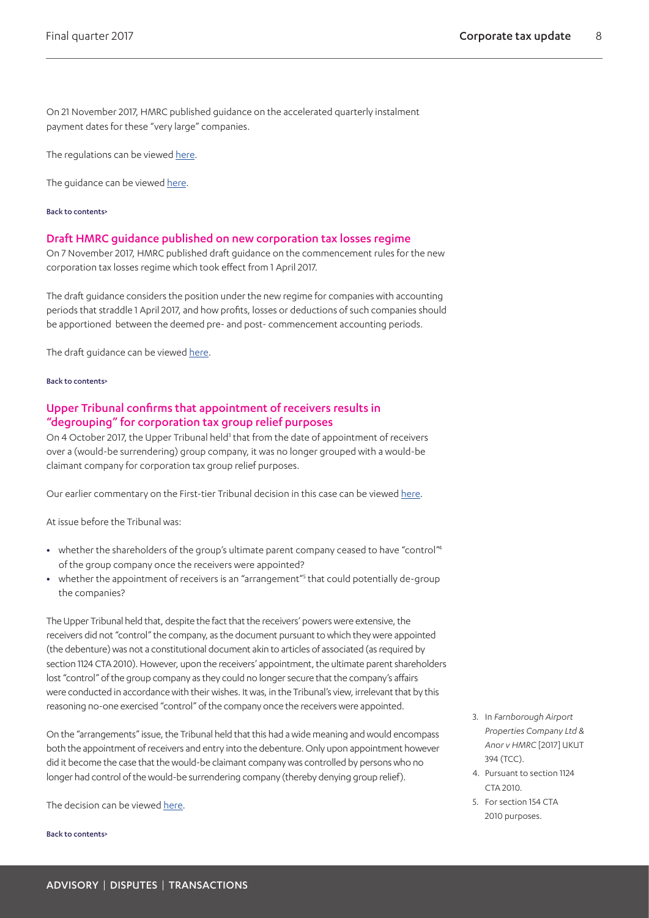On 21 November 2017, HMRC published guidance on the accelerated quarterly instalment payment dates for these "very large" companies.

The regulations can be viewed [here.](http://www.legislation.gov.uk/uksi/2017/1072/contents/made)

The guidance can be viewed [here.](https://www.gov.uk/government/publications/corporation-tax-payments-by-very-large-companies-technical-guidance)

#### [Back to contents>](#page-0-0)

#### <span id="page-7-0"></span>Draft HMRC guidance published on new corporation tax losses regime

On 7 November 2017, HMRC published draft guidance on the commencement rules for the new corporation tax losses regime which took effect from 1 April 2017.

The draft guidance considers the position under the new regime for companies with accounting periods that straddle 1 April 2017, and how profits, losses or deductions of such companies should be apportioned between the deemed pre- and post- commencement accounting periods.

The draft guidance can be viewed [here](https://www.gov.uk/government/publications/reform-of-corporation-tax-loss-relief-draft-guidance-on-commencement-provisions).

#### [Back to contents>](#page-0-0)

## Upper Tribunal confirms that appointment of receivers results in "degrouping" for corporation tax group relief purposes

On 4 October 2017, the Upper Tribunal held<sup>[3](#page-7-1)</sup> that from the date of appointment of receivers over a (would-be surrendering) group company, it was no longer grouped with a would-be claimant company for corporation tax group relief purposes.

Our earlier commentary on the First-tier Tribunal decision in this case can be viewed [here.](https://www.rpc.co.uk/perspectives/tax-take/corporate-tax-update-second-quarter-2016)

At issue before the Tribunal was:

- whether the shareholders of the group's ultimate parent company ceased to have "control<sup>["4](#page-7-2)</sup> of the group company once the receivers were appointed?
- whether the appointment of receivers is an "arrangement"<sup>5</sup> that could potentially de-group the companies?

The Upper Tribunal held that, despite the fact that the receivers' powers were extensive, the receivers did not "control" the company, as the document pursuant to which they were appointed (the debenture) was not a constitutional document akin to articles of associated (as required by section 1124 CTA 2010). However, upon the receivers' appointment, the ultimate parent shareholders lost "control" of the group company as they could no longer secure that the company's affairs were conducted in accordance with their wishes. It was, in the Tribunal's view, irrelevant that by this reasoning no-one exercised "control" of the company once the receivers were appointed.

On the "arrangements" issue, the Tribunal held that this had a wide meaning and would encompass both the appointment of receivers and entry into the debenture. Only upon appointment however did it become the case that the would-be claimant company was controlled by persons who no longer had control of the would-be surrendering company (thereby denying group relief).

The decision can be viewed [here.](https://assets.publishing.service.gov.uk/media/59d4f98fe5274a401addb3c0/Farnborough_Airport_Properties_v_HMRC_.pdf)

- <span id="page-7-1"></span>3. In *Farnborough Airport Properties Company Ltd & Anor v HMRC* [2017] UKUT 394 (TCC).
- <span id="page-7-2"></span>4. Pursuant to section 1124  $CTA 2010$
- <span id="page-7-3"></span>5. For section 154 CTA 2010 purposes.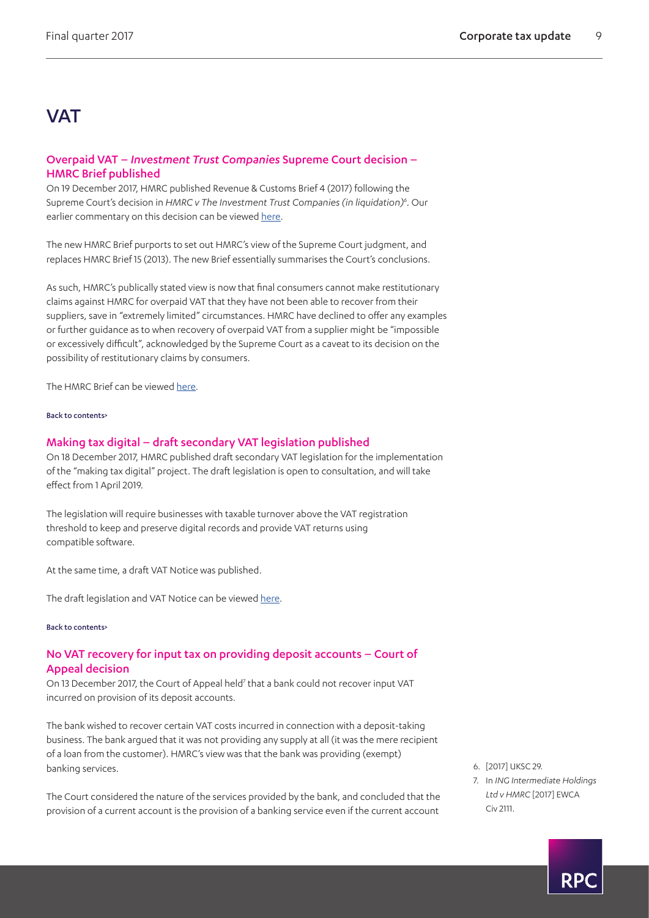## **VAT**

## <span id="page-8-0"></span>Overpaid VAT – *Investment Trust Companies* Supreme Court decision – HMRC Brief published

On 19 December 2017, HMRC published Revenue & Customs Brief 4 (2017) following the Supreme Court's decision in HMRC v The Investment Trust Companies (in liquidation)<sup>6</sup>. Our earlier commentary on this decision can be viewed [here](https://www.rpc.co.uk/-/media/rpc/files/perspectives/tax-take/17595_updt_corporate-tax-quarterly-update-sept-2017_email.pdf).

The new HMRC Brief purports to set out HMRC's view of the Supreme Court judgment, and replaces HMRC Brief 15 (2013). The new Brief essentially summarises the Court's conclusions.

As such, HMRC's publically stated view is now that final consumers cannot make restitutionary claims against HMRC for overpaid VAT that they have not been able to recover from their suppliers, save in "extremely limited" circumstances. HMRC have declined to offer any examples or further guidance as to when recovery of overpaid VAT from a supplier might be "impossible or excessively difficult", acknowledged by the Supreme Court as a caveat to its decision on the possibility of restitutionary claims by consumers.

The HMRC Brief can be viewed [here.](https://www.gov.uk/government/publications/revenue-and-customs-brief-4-2017-judgment-of-the-supreme-court-in-investment-trust-companies/revenue-and-customs-brief-4-2017-judgment-of-the-supreme-court-in-investment-trust-companies)

#### [Back to contents>](#page-0-0)

### <span id="page-8-1"></span>Making tax digital – draft secondary VAT legislation published

On 18 December 2017, HMRC published draft secondary VAT legislation for the implementation of the "making tax digital" project. The draft legislation is open to consultation, and will take effect from 1 April 2019.

The legislation will require businesses with taxable turnover above the VAT registration threshold to keep and preserve digital records and provide VAT returns using compatible software.

At the same time, a draft VAT Notice was published.

The draft legislation and VAT Notice can be viewed [here.](https://www.gov.uk/government/consultations/draft-legislation-the-value-added-tax-amendment-regulations-2018)

#### [Back to contents>](#page-0-0)

## <span id="page-8-2"></span>No VAT recovery for input tax on providing deposit accounts – Court of Appeal decision

On 13 December 2017, the Court of Appeal held<sup>7</sup> that a bank could not recover input VAT incurred on provision of its deposit accounts.

The bank wished to recover certain VAT costs incurred in connection with a deposit-taking business. The bank argued that it was not providing any supply at all (it was the mere recipient of a loan from the customer). HMRC's view was that the bank was providing (exempt) banking services.

The Court considered the nature of the services provided by the bank, and concluded that the provision of a current account is the provision of a banking service even if the current account

- <span id="page-8-3"></span>6. [2017] UKSC 29.
- <span id="page-8-4"></span>7. In *ING Intermediate Holdings Ltd v HMRC* [2017] EWCA Civ 2111.

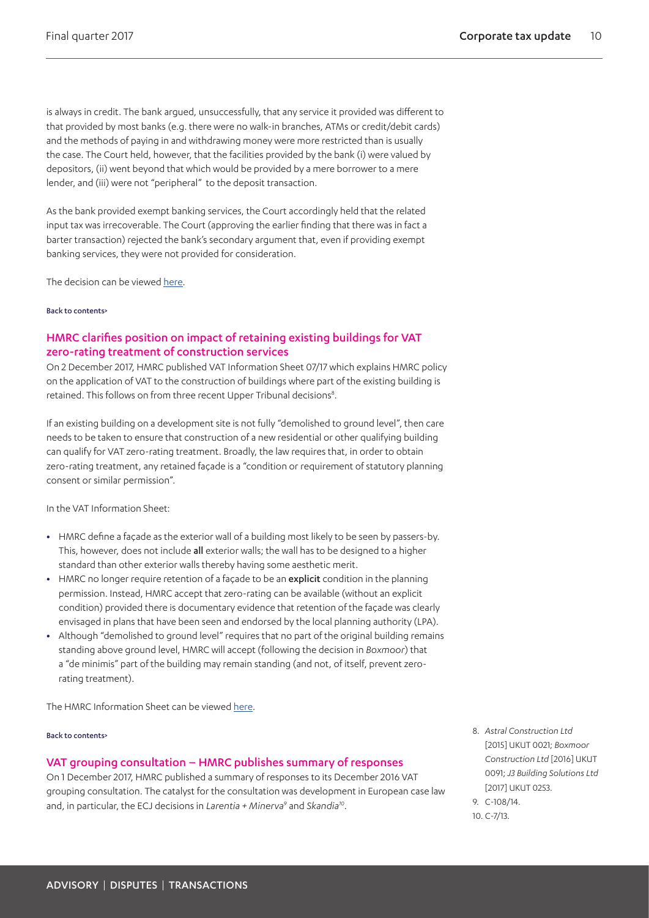is always in credit. The bank argued, unsuccessfully, that any service it provided was different to that provided by most banks (e.g. there were no walk-in branches, ATMs or credit/debit cards) and the methods of paying in and withdrawing money were more restricted than is usually the case. The Court held, however, that the facilities provided by the bank (i) were valued by depositors, (ii) went beyond that which would be provided by a mere borrower to a mere lender, and (iii) were not "peripheral" to the deposit transaction.

As the bank provided exempt banking services, the Court accordingly held that the related input tax was irrecoverable. The Court (approving the earlier finding that there was in fact a barter transaction) rejected the bank's secondary argument that, even if providing exempt banking services, they were not provided for consideration.

The decision can be viewed [here.](http://www.bailii.org/ew/cases/EWCA/Civ/2017/2111.html)

#### [Back to contents>](#page-0-0)

## <span id="page-9-0"></span>HMRC clarifies position on impact of retaining existing buildings for VAT zero-rating treatment of construction services

On 2 December 2017, HMRC published VAT Information Sheet 07/17 which explains HMRC policy on the application of VAT to the construction of buildings where part of the existing building is retained. This follows on from three recent Upper Tribunal decisions<sup>8</sup>.

If an existing building on a development site is not fully "demolished to ground level", then care needs to be taken to ensure that construction of a new residential or other qualifying building can qualify for VAT zero-rating treatment. Broadly, the law requires that, in order to obtain zero-rating treatment, any retained façade is a "condition or requirement of statutory planning consent or similar permission".

In the VAT Information Sheet:

- **•** HMRC define a façade as the exterior wall of a building most likely to be seen by passers-by. This, however, does not include all exterior walls; the wall has to be designed to a higher standard than other exterior walls thereby having some aesthetic merit.
- **•** HMRC no longer require retention of a façade to be an explicit condition in the planning permission. Instead, HMRC accept that zero-rating can be available (without an explicit condition) provided there is documentary evidence that retention of the façade was clearly envisaged in plans that have been seen and endorsed by the local planning authority (LPA).
- **•** Although "demolished to ground level" requires that no part of the original building remains standing above ground level, HMRC will accept (following the decision in *Boxmoor*) that a "de minimis" part of the building may remain standing (and not, of itself, prevent zerorating treatment).

The HMRC Information Sheet can be viewed [here.](https://www.gov.uk/government/publications/vat-information-sheet-0717-construction-services-and-zero-rated-relief/vat-information-sheet-0717-construction-services-and-zero-rated-relief)

#### [Back to contents>](#page-0-0)

## <span id="page-9-1"></span>VAT grouping consultation – HMRC publishes summary of responses

On 1 December 2017, HMRC published a summary of responses to its December 2016 VAT grouping consultation. The catalyst for the consultation was development in European case law and, in particular, the ECJ decisions in *Larentia + Minerv[a9](#page-9-3)* and *Skandi[a10](#page-9-4)*.

<span id="page-9-2"></span>8. *Astral Construction Ltd*  [2015] UKUT 0021; *Boxmoor Construction Ltd* [2016] UKUT 0091; *J3 Building Solutions Ltd* [2017] UKUT 0253.

<span id="page-9-4"></span><span id="page-9-3"></span>9. C-108/14. 10. C-7/13.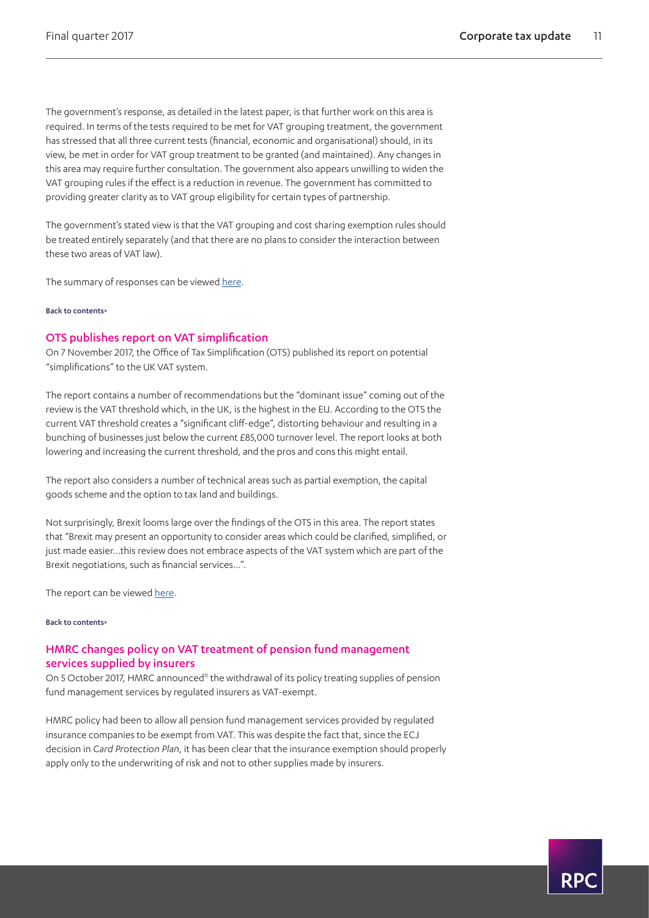The government's response, as detailed in the latest paper, is that further work on this area is required. In terms of the tests required to be met for VAT grouping treatment, the government has stressed that all three current tests (financial, economic and organisational) should, in its view, be met in order for VAT group treatment to be granted (and maintained). Any changes in this area may require further consultation. The government also appears unwilling to widen the VAT grouping rules if the effect is a reduction in revenue. The government has committed to providing greater clarity as to VAT group eligibility for certain types of partnership.

The government's stated view is that the VAT grouping and cost sharing exemption rules should be treated entirely separately (and that there are no plans to consider the interaction between these two areas of VAT law).

The summary of responses can be viewed [here](https://www.gov.uk/government/consultations/scope-of-vat-grouping).

#### [Back to contents>](#page-0-0)

## <span id="page-10-0"></span>OTS publishes report on VAT simplification

On 7 November 2017, the Office of Tax Simplification (OTS) published its report on potential "simplifications" to the UK VAT system.

The report contains a number of recommendations but the "dominant issue" coming out of the review is the VAT threshold which, in the UK, is the highest in the EU. According to the OTS the current VAT threshold creates a "significant cliff-edge", distorting behaviour and resulting in a bunching of businesses just below the current £85,000 turnover level. The report looks at both lowering and increasing the current threshold, and the pros and cons this might entail.

The report also considers a number of technical areas such as partial exemption, the capital goods scheme and the option to tax land and buildings.

Not surprisingly, Brexit looms large over the findings of the OTS in this area. The report states that "Brexit may present an opportunity to consider areas which could be clarified, simplified, or just made easier…this review does not embrace aspects of the VAT system which are part of the Brexit negotiations, such as financial services…".

The report can be viewed [here.](https://www.gov.uk/government/publications/ots-report-on-routes-to-simplification-for-vat-is-published)

#### [Back to contents>](#page-0-0)

## <span id="page-10-1"></span>HMRC changes policy on VAT treatment of pension fund management services supplied by insurers

On 5 October 2017, HMRC announced<sup>11</sup> the withdrawal of its policy treating supplies of pension fund management services by regulated insurers as VAT-exempt.

HMRC policy had been to allow all pension fund management services provided by regulated insurance companies to be exempt from VAT. This was despite the fact that, since the ECJ decision in *Card Protection Plan*, it has been clear that the insurance exemption should properly apply only to the underwriting of risk and not to other supplies made by insurers.

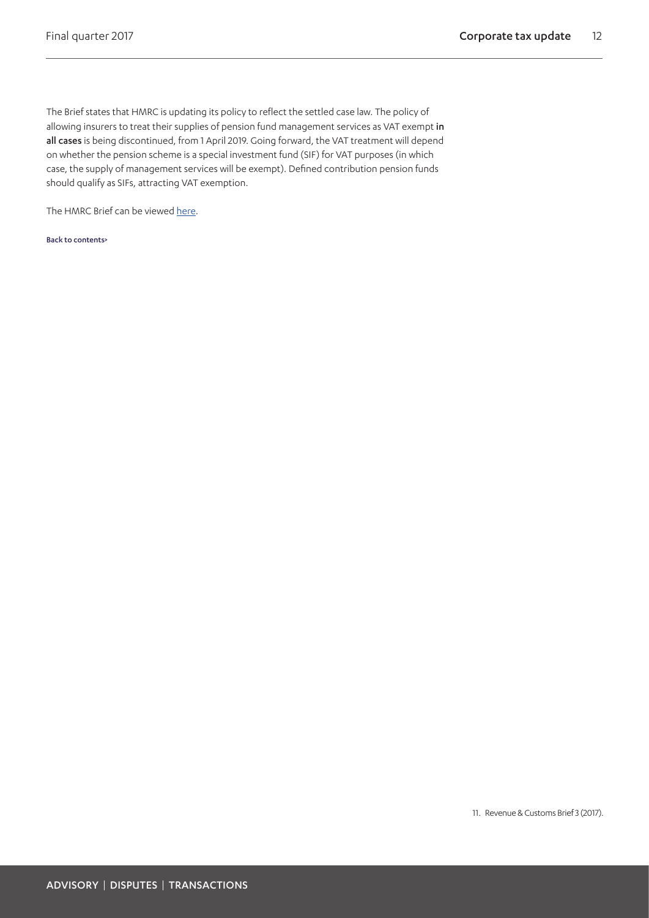The Brief states that HMRC is updating its policy to reflect the settled case law. The policy of allowing insurers to treat their supplies of pension fund management services as VAT exempt in all cases is being discontinued, from 1 April 2019. Going forward, the VAT treatment will depend on whether the pension scheme is a special investment fund (SIF) for VAT purposes (in which case, the supply of management services will be exempt). Defined contribution pension funds should qualify as SIFs, attracting VAT exemption.

<span id="page-11-0"></span>The HMRC Brief can be viewed [here.](https://www.gov.uk/government/publications/revenue-and-customs-brief-3-2017-vat-treatment-of-pension-fund-management-services/revenue-and-customs-brief-3-2017-vat-treatment-of-pension-fund-management-services)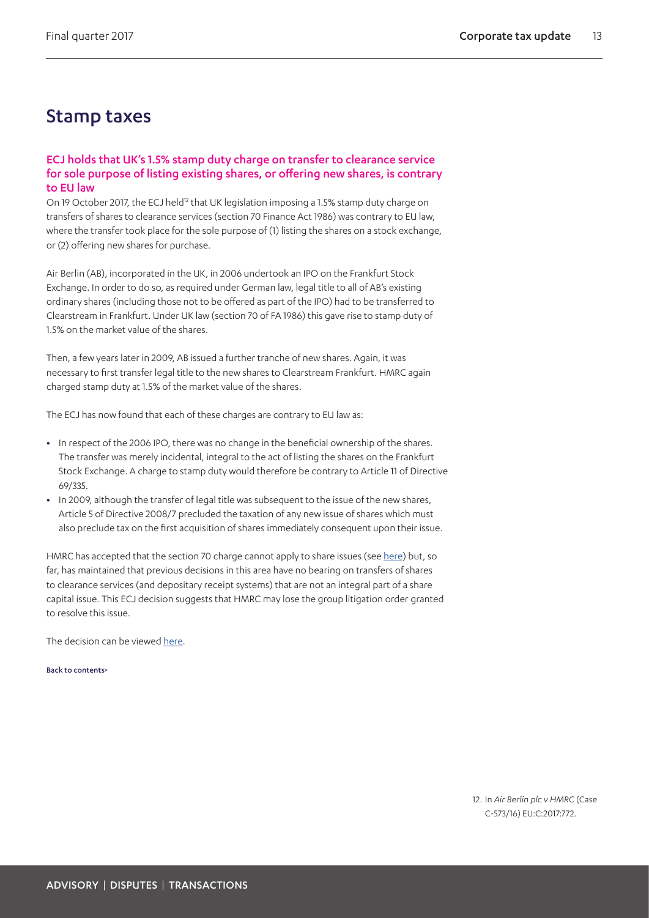## Stamp taxes

## ECJ holds that UK's 1.5% stamp duty charge on transfer to clearance service for sole purpose of listing existing shares, or offering new shares, is contrary to EU law

On 19 October 2017, the ECJ held<sup>[12](#page-12-0)</sup> that UK legislation imposing a 1.5% stamp duty charge on transfers of shares to clearance services (section 70 Finance Act 1986) was contrary to EU law, where the transfer took place for the sole purpose of (1) listing the shares on a stock exchange, or (2) offering new shares for purchase.

Air Berlin (AB), incorporated in the UK, in 2006 undertook an IPO on the Frankfurt Stock Exchange. In order to do so, as required under German law, legal title to all of AB's existing ordinary shares (including those not to be offered as part of the IPO) had to be transferred to Clearstream in Frankfurt. Under UK law (section 70 of FA 1986) this gave rise to stamp duty of 1.5% on the market value of the shares.

Then, a few years later in 2009, AB issued a further tranche of new shares. Again, it was necessary to first transfer legal title to the new shares to Clearstream Frankfurt. HMRC again charged stamp duty at 1.5% of the market value of the shares.

The ECJ has now found that each of these charges are contrary to EU law as:

- **•** In respect of the 2006 IPO, there was no change in the beneficial ownership of the shares. The transfer was merely incidental, integral to the act of listing the shares on the Frankfurt Stock Exchange. A charge to stamp duty would therefore be contrary to Article 11 of Directive 69/335.
- **•** In 2009, although the transfer of legal title was subsequent to the issue of the new shares, Article 5 of Directive 2008/7 precluded the taxation of any new issue of shares which must also preclude tax on the first acquisition of shares immediately consequent upon their issue.

HMRC has accepted that the section 70 charge cannot apply to share issues (see [here\)](http://webarchive.nationalarchives.gov.uk/20140206152348/http://www.hmrc.gov.uk/so/sdrt-hsbc-holdings.pdf) but, so far, has maintained that previous decisions in this area have no bearing on transfers of shares to clearance services (and depositary receipt systems) that are not an integral part of a share capital issue. This ECJ decision suggests that HMRC may lose the group litigation order granted to resolve this issue.

The decision can be viewed [here.](http://www.bailii.org/eu/cases/EUECJ/2017/C57316.html)

[Back to contents>](#page-0-0)

<span id="page-12-0"></span>12. In *Air Berlin plc v HMRC* (Case C-573/16) EU:C:2017:772.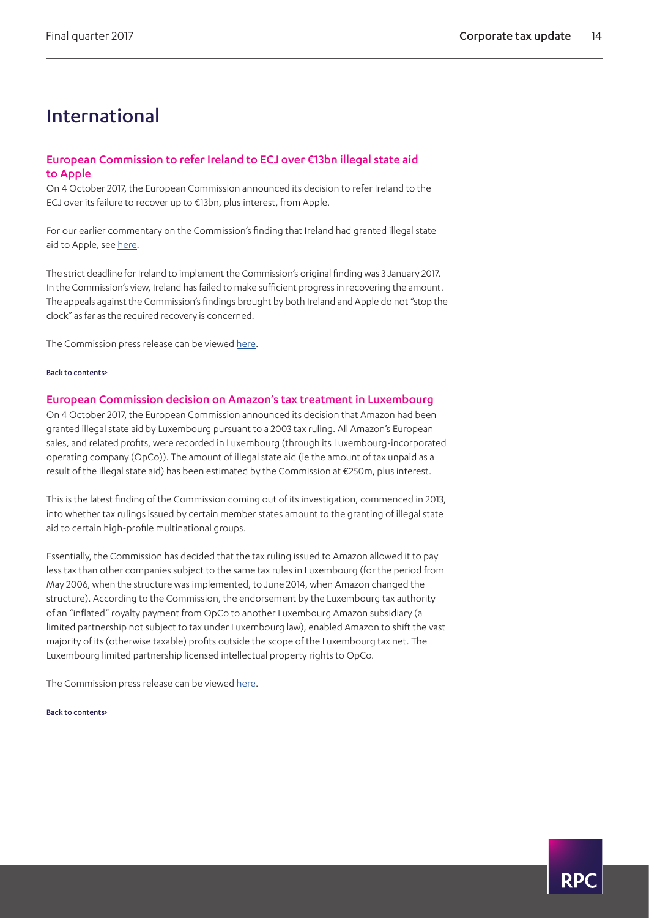## International

## <span id="page-13-0"></span>European Commission to refer Ireland to ECJ over €13bn illegal state aid to Apple

On 4 October 2017, the European Commission announced its decision to refer Ireland to the ECJ over its failure to recover up to €13bn, plus interest, from Apple.

For our earlier commentary on the Commission's finding that Ireland had granted illegal state aid to Apple, see [here.](https://www.rpc.co.uk/perspectives/tax-take/corporate-tax-update-third-quarter-2016)

The strict deadline for Ireland to implement the Commission's original finding was 3 January 2017. In the Commission's view, Ireland has failed to make sufficient progress in recovering the amount. The appeals against the Commission's findings brought by both Ireland and Apple do not "stop the clock" as far as the required recovery is concerned.

The Commission press release can be viewed [here.](http://europa.eu/rapid/press-release_IP-17-3702_en.htm)

#### [Back to contents>](#page-0-0)

### European Commission decision on Amazon's tax treatment in Luxembourg

On 4 October 2017, the European Commission announced its decision that Amazon had been granted illegal state aid by Luxembourg pursuant to a 2003 tax ruling. All Amazon's European sales, and related profits, were recorded in Luxembourg (through its Luxembourg-incorporated operating company (OpCo)). The amount of illegal state aid (ie the amount of tax unpaid as a result of the illegal state aid) has been estimated by the Commission at €250m, plus interest.

This is the latest finding of the Commission coming out of its investigation, commenced in 2013, into whether tax rulings issued by certain member states amount to the granting of illegal state aid to certain high-profile multinational groups.

Essentially, the Commission has decided that the tax ruling issued to Amazon allowed it to pay less tax than other companies subject to the same tax rules in Luxembourg (for the period from May 2006, when the structure was implemented, to June 2014, when Amazon changed the structure). According to the Commission, the endorsement by the Luxembourg tax authority of an "inflated" royalty payment from OpCo to another Luxembourg Amazon subsidiary (a limited partnership not subject to tax under Luxembourg law), enabled Amazon to shift the vast majority of its (otherwise taxable) profits outside the scope of the Luxembourg tax net. The Luxembourg limited partnership licensed intellectual property rights to OpCo.

The Commission press release can be viewed [here.](http://europa.eu/rapid/press-release_IP-17-3701_en.htm)

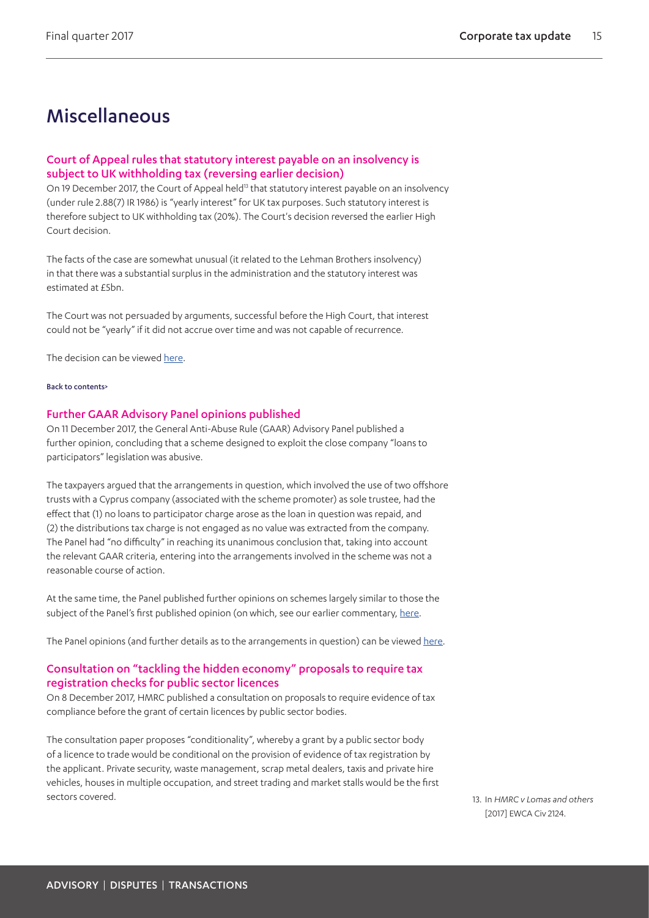## **Miscellaneous**

## Court of Appeal rules that statutory interest payable on an insolvency is subject to UK withholding tax (reversing earlier decision)

On 19 December 2017, the Court of Appeal held<sup>13</sup> that statutory interest payable on an insolvency (under rule 2.88(7) IR 1986) is "yearly interest" for UK tax purposes. Such statutory interest is therefore subject to UK withholding tax (20%). The Court's decision reversed the earlier High Court decision.

The facts of the case are somewhat unusual (it related to the Lehman Brothers insolvency) in that there was a substantial surplus in the administration and the statutory interest was estimated at £5bn.

The Court was not persuaded by arguments, successful before the High Court, that interest could not be "yearly" if it did not accrue over time and was not capable of recurrence.

The decision can be viewed [here.](http://www.bailii.org/cgi-bin/format.cgi?doc=/ew/cases/EWCA/Civ/2017/2124.html&query=(%5b2017%5d)+AND+(EWCA)+AND+(Civ)+AND+(2124))

#### [Back to contents>](#page-0-0)

## <span id="page-14-0"></span>Further GAAR Advisory Panel opinions published

On 11 December 2017, the General Anti-Abuse Rule (GAAR) Advisory Panel published a further opinion, concluding that a scheme designed to exploit the close company "loans to participators" legislation was abusive.

The taxpayers argued that the arrangements in question, which involved the use of two offshore trusts with a Cyprus company (associated with the scheme promoter) as sole trustee, had the effect that (1) no loans to participator charge arose as the loan in question was repaid, and (2) the distributions tax charge is not engaged as no value was extracted from the company. The Panel had "no difficulty" in reaching its unanimous conclusion that, taking into account the relevant GAAR criteria, entering into the arrangements involved in the scheme was not a reasonable course of action.

At the same time, the Panel published further opinions on schemes largely similar to those the subject of the Panel's first published opinion (on which, see our earlier commentary, [here](https://www.rpc.co.uk/perspectives/tax-take/corporate-tax-update-third-quarter-2017).

The Panel opinions (and further details as to the arrangements in question) can be viewed [here](https://www.gov.uk/government/collections/tax-avoidance-general-anti-abuse-rule-gaar).

## Consultation on "tackling the hidden economy" proposals to require tax registration checks for public sector licences

On 8 December 2017, HMRC published a consultation on proposals to require evidence of tax compliance before the grant of certain licences by public sector bodies.

The consultation paper proposes "conditionality", whereby a grant by a public sector body of a licence to trade would be conditional on the provision of evidence of tax registration by the applicant. Private security, waste management, scrap metal dealers, taxis and private hire vehicles, houses in multiple occupation, and street trading and market stalls would be the first sectors covered. 13. In *HMRC v Lomas and others*

<span id="page-14-1"></span>[2017] EWCA Civ 2124.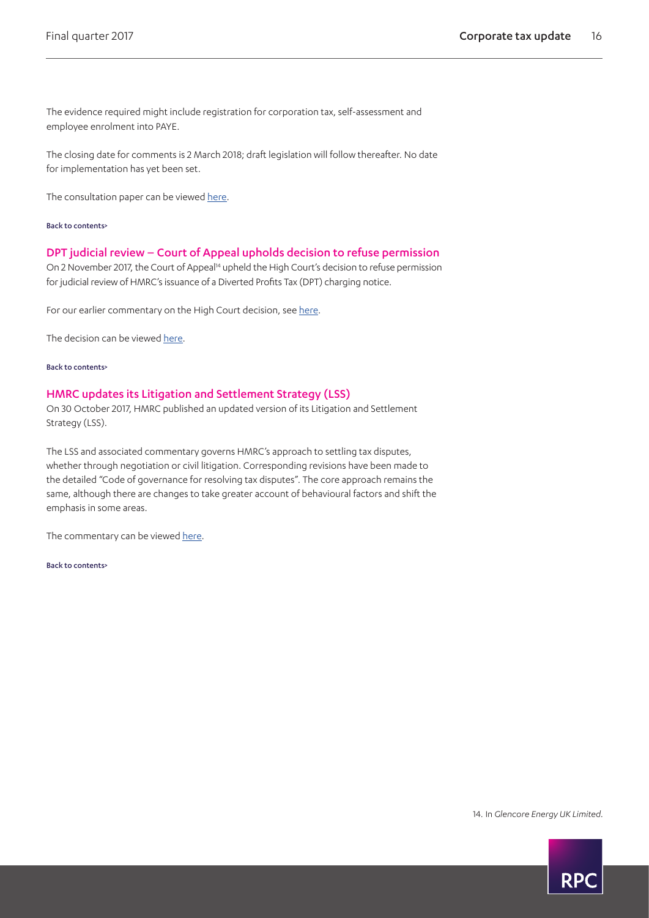The evidence required might include registration for corporation tax, self-assessment and employee enrolment into PAYE.

The closing date for comments is 2 March 2018; draft legislation will follow thereafter. No date for implementation has yet been set.

The consultation paper can be viewed [here.](https://www.gov.uk/government/consultations/tackling-the-hidden-economy-public-sector-licensing)

[Back to contents>](#page-0-0)

#### <span id="page-15-0"></span>DPT judicial review – Court of Appeal upholds decision to refuse permission

On 2 November 2017, the Court of Appeal<sup>14</sup> upheld the High Court's decision to refuse permission for judicial review of HMRC's issuance of a Diverted Profits Tax (DPT) charging notice.

For our earlier commentary on the High Court decision, see [here.](https://www.rpc.co.uk/perspectives/tax-take/corporate-tax-update-second-quarter-2017)

The decision can be viewed [here.](http://www.bailii.org/ew/cases/EWCA/Civ/2017/1716.html)

[Back to contents>](#page-0-0)

#### <span id="page-15-1"></span>HMRC updates its Litigation and Settlement Strategy (LSS)

On 30 October 2017, HMRC published an updated version of its Litigation and Settlement Strategy (LSS).

The LSS and associated commentary governs HMRC's approach to settling tax disputes, whether through negotiation or civil litigation. Corresponding revisions have been made to the detailed "Code of governance for resolving tax disputes". The core approach remains the same, although there are changes to take greater account of behavioural factors and shift the emphasis in some areas.

The commentary can be viewed [here](https://www.gov.uk/government/publications/litigation-and-settlement-strategy-lss).

[Back to contents>](#page-0-0)

<span id="page-15-2"></span>14. In *Glencore Energy UK Limited.*